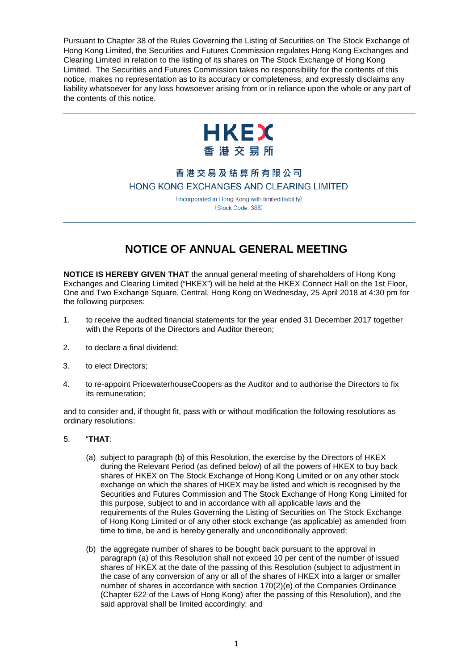Pursuant to Chapter 38 of the Rules Governing the Listing of Securities on The Stock Exchange of Hong Kong Limited, the Securities and Futures Commission regulates Hong Kong Exchanges and Clearing Limited in relation to the listing of its shares on The Stock Exchange of Hong Kong Limited. The Securities and Futures Commission takes no responsibility for the contents of this notice, makes no representation as to its accuracy or completeness, and expressly disclaims any liability whatsoever for any loss howsoever arising from or in reliance upon the whole or any part of the contents of this notice.



## 香港交易及結算所有限公司 HONG KONG EXCHANGES AND CLEARING LIMITED

(Incorporated in Hong Kong with limited liability) (Stock Code: 388)

## **NOTICE OF ANNUAL GENERAL MEETING**

**NOTICE IS HEREBY GIVEN THAT** the annual general meeting of shareholders of Hong Kong Exchanges and Clearing Limited ("HKEX") will be held at the HKEX Connect Hall on the 1st Floor, One and Two Exchange Square, Central, Hong Kong on Wednesday, 25 April 2018 at 4:30 pm for the following purposes:

- 1. to receive the audited financial statements for the year ended 31 December 2017 together with the Reports of the Directors and Auditor thereon;
- 2. to declare a final dividend;
- 3. to elect Directors;
- 4. to re-appoint PricewaterhouseCoopers as the Auditor and to authorise the Directors to fix its remuneration;

and to consider and, if thought fit, pass with or without modification the following resolutions as ordinary resolutions:

- 5. "**THAT**:
	- (a) subject to paragraph (b) of this Resolution, the exercise by the Directors of HKEX during the Relevant Period (as defined below) of all the powers of HKEX to buy back shares of HKEX on The Stock Exchange of Hong Kong Limited or on any other stock exchange on which the shares of HKEX may be listed and which is recognised by the Securities and Futures Commission and The Stock Exchange of Hong Kong Limited for this purpose, subject to and in accordance with all applicable laws and the requirements of the Rules Governing the Listing of Securities on The Stock Exchange of Hong Kong Limited or of any other stock exchange (as applicable) as amended from time to time, be and is hereby generally and unconditionally approved;
	- (b) the aggregate number of shares to be bought back pursuant to the approval in paragraph (a) of this Resolution shall not exceed 10 per cent of the number of issued shares of HKEX at the date of the passing of this Resolution (subject to adjustment in the case of any conversion of any or all of the shares of HKEX into a larger or smaller number of shares in accordance with section 170(2)(e) of the Companies Ordinance (Chapter 622 of the Laws of Hong Kong) after the passing of this Resolution), and the said approval shall be limited accordingly; and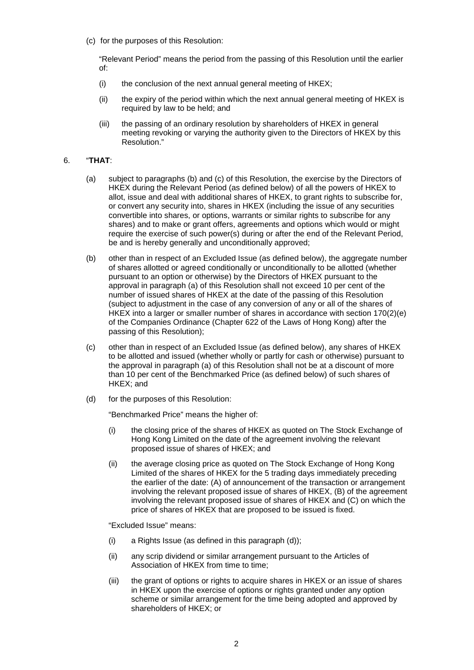(c) for the purposes of this Resolution:

"Relevant Period" means the period from the passing of this Resolution until the earlier of:

- (i) the conclusion of the next annual general meeting of HKEX;
- (ii) the expiry of the period within which the next annual general meeting of HKEX is required by law to be held; and
- (iii) the passing of an ordinary resolution by shareholders of HKEX in general meeting revoking or varying the authority given to the Directors of HKEX by this Resolution."

## 6. "**THAT**:

- (a) subject to paragraphs (b) and (c) of this Resolution, the exercise by the Directors of HKEX during the Relevant Period (as defined below) of all the powers of HKEX to allot, issue and deal with additional shares of HKEX, to grant rights to subscribe for, or convert any security into, shares in HKEX (including the issue of any securities convertible into shares, or options, warrants or similar rights to subscribe for any shares) and to make or grant offers, agreements and options which would or might require the exercise of such power(s) during or after the end of the Relevant Period, be and is hereby generally and unconditionally approved;
- (b) other than in respect of an Excluded Issue (as defined below), the aggregate number of shares allotted or agreed conditionally or unconditionally to be allotted (whether pursuant to an option or otherwise) by the Directors of HKEX pursuant to the approval in paragraph (a) of this Resolution shall not exceed 10 per cent of the number of issued shares of HKEX at the date of the passing of this Resolution (subject to adjustment in the case of any conversion of any or all of the shares of HKEX into a larger or smaller number of shares in accordance with section 170(2)(e) of the Companies Ordinance (Chapter 622 of the Laws of Hong Kong) after the passing of this Resolution);
- (c) other than in respect of an Excluded Issue (as defined below), any shares of HKEX to be allotted and issued (whether wholly or partly for cash or otherwise) pursuant to the approval in paragraph (a) of this Resolution shall not be at a discount of more than 10 per cent of the Benchmarked Price (as defined below) of such shares of HKEX; and
- (d) for the purposes of this Resolution:

"Benchmarked Price" means the higher of:

- (i) the closing price of the shares of HKEX as quoted on The Stock Exchange of Hong Kong Limited on the date of the agreement involving the relevant proposed issue of shares of HKEX; and
- (ii) the average closing price as quoted on The Stock Exchange of Hong Kong Limited of the shares of HKEX for the 5 trading days immediately preceding the earlier of the date: (A) of announcement of the transaction or arrangement involving the relevant proposed issue of shares of HKEX, (B) of the agreement involving the relevant proposed issue of shares of HKEX and (C) on which the price of shares of HKEX that are proposed to be issued is fixed.

"Excluded Issue" means:

- (i) a Rights Issue (as defined in this paragraph (d));
- (ii) any scrip dividend or similar arrangement pursuant to the Articles of Association of HKEX from time to time;
- (iii) the grant of options or rights to acquire shares in HKEX or an issue of shares in HKEX upon the exercise of options or rights granted under any option scheme or similar arrangement for the time being adopted and approved by shareholders of HKEX; or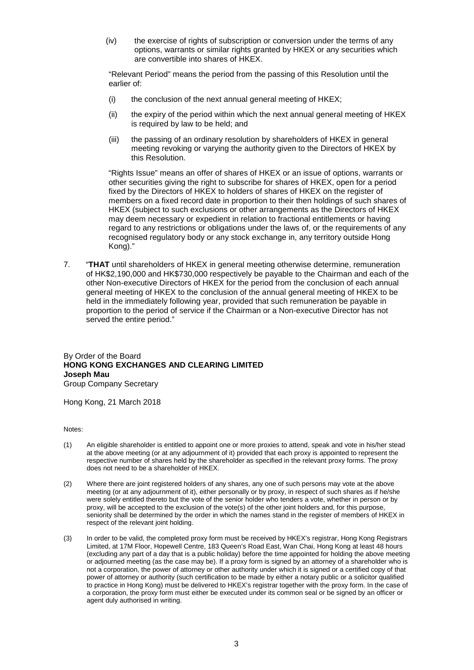(iv) the exercise of rights of subscription or conversion under the terms of any options, warrants or similar rights granted by HKEX or any securities which are convertible into shares of HKEX.

"Relevant Period" means the period from the passing of this Resolution until the earlier of:

- (i) the conclusion of the next annual general meeting of HKEX;
- (ii) the expiry of the period within which the next annual general meeting of HKEX is required by law to be held; and
- (iii) the passing of an ordinary resolution by shareholders of HKEX in general meeting revoking or varying the authority given to the Directors of HKEX by this Resolution.

"Rights Issue" means an offer of shares of HKEX or an issue of options, warrants or other securities giving the right to subscribe for shares of HKEX, open for a period fixed by the Directors of HKEX to holders of shares of HKEX on the register of members on a fixed record date in proportion to their then holdings of such shares of HKEX (subject to such exclusions or other arrangements as the Directors of HKEX may deem necessary or expedient in relation to fractional entitlements or having regard to any restrictions or obligations under the laws of, or the requirements of any recognised regulatory body or any stock exchange in, any territory outside Hong Kong)."

7. "**THAT** until shareholders of HKEX in general meeting otherwise determine, remuneration of HK\$2,190,000 and HK\$730,000 respectively be payable to the Chairman and each of the other Non-executive Directors of HKEX for the period from the conclusion of each annual general meeting of HKEX to the conclusion of the annual general meeting of HKEX to be held in the immediately following year, provided that such remuneration be payable in proportion to the period of service if the Chairman or a Non-executive Director has not served the entire period."

## By Order of the Board **HONG KONG EXCHANGES AND CLEARING LIMITED Joseph Mau** Group Company Secretary

Hong Kong, 21 March 2018

Notes:

- (1) An eligible shareholder is entitled to appoint one or more proxies to attend, speak and vote in his/her stead at the above meeting (or at any adjournment of it) provided that each proxy is appointed to represent the respective number of shares held by the shareholder as specified in the relevant proxy forms. The proxy does not need to be a shareholder of HKEX.
- (2) Where there are joint registered holders of any shares, any one of such persons may vote at the above meeting (or at any adjournment of it), either personally or by proxy, in respect of such shares as if he/she were solely entitled thereto but the vote of the senior holder who tenders a vote, whether in person or by proxy, will be accepted to the exclusion of the vote(s) of the other joint holders and, for this purpose, seniority shall be determined by the order in which the names stand in the register of members of HKEX in respect of the relevant joint holding.
- (3) In order to be valid, the completed proxy form must be received by HKEX's registrar, Hong Kong Registrars Limited, at 17M Floor, Hopewell Centre, 183 Queen's Road East, Wan Chai, Hong Kong at least 48 hours (excluding any part of a day that is a public holiday) before the time appointed for holding the above meeting or adjourned meeting (as the case may be). If a proxy form is signed by an attorney of a shareholder who is not a corporation, the power of attorney or other authority under which it is signed or a certified copy of that power of attorney or authority (such certification to be made by either a notary public or a solicitor qualified to practice in Hong Kong) must be delivered to HKEX's registrar together with the proxy form. In the case of a corporation, the proxy form must either be executed under its common seal or be signed by an officer or agent duly authorised in writing.